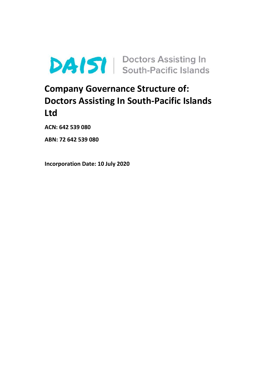

# **Company Governance Structure of: Doctors Assisting In South-Pacific Islands Ltd**

**ACN: 642 539 080**

**ABN: 72 642 539 080** 

**Incorporation Date: 10 July 2020**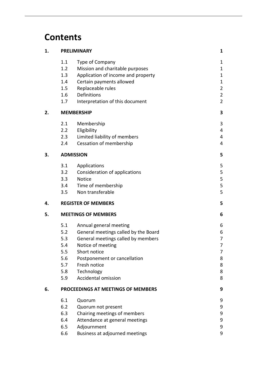# **Contents**

| 1. | <b>PRELIMINARY</b>                 |                                      |                  |
|----|------------------------------------|--------------------------------------|------------------|
|    | 1.1                                | Type of Company                      | 1                |
|    | 1.2                                | Mission and charitable purposes      | $\mathbf{1}$     |
|    | 1.3                                | Application of income and property   | $\mathbf{1}$     |
|    | 1.4                                | Certain payments allowed             | $\mathbf{1}$     |
|    | 1.5                                | Replaceable rules                    | $\overline{2}$   |
|    | 1.6                                | Definitions                          | $\overline{2}$   |
|    | 1.7                                | Interpretation of this document      | $\overline{2}$   |
| 2. | <b>MEMBERSHIP</b>                  | 3                                    |                  |
|    | 2.1                                | Membership                           | 3                |
|    | 2.2                                | Eligibility                          | 4                |
|    | 2.3                                | Limited liability of members         | 4                |
|    | 2.4                                | Cessation of membership              | 4                |
| 3. | <b>ADMISSION</b>                   |                                      | 5                |
|    | 3.1                                | Applications                         | 5                |
|    | 3.2                                | Consideration of applications        | 5                |
|    | 3.3                                | <b>Notice</b>                        | 5                |
|    | 3.4                                | Time of membership                   | 5                |
|    | 3.5                                | Non transferable                     | 5                |
| 4. |                                    | <b>REGISTER OF MEMBERS</b>           |                  |
| 5. | <b>MEETINGS OF MEMBERS</b>         |                                      | 6                |
|    | 5.1                                | Annual general meeting               | 6                |
|    | 5.2                                | General meetings called by the Board | 6                |
|    | 5.3                                | General meetings called by members   | 7                |
|    | 5.4                                | Notice of meeting                    | 7                |
|    | 5.5                                | Short notice                         | 7                |
|    | 5.6                                | Postponement or cancellation         | 8                |
|    | 5.7                                | Fresh notice                         | 8                |
|    | 5.8                                | Technology                           | 8                |
|    | 5.9                                | <b>Accidental omission</b>           | 8                |
| 6. | PROCEEDINGS AT MEETINGS OF MEMBERS |                                      |                  |
|    | 6.1                                | Quorum                               | 9                |
|    | 6.2                                | Quorum not present                   | 9                |
|    | 6.3                                | Chairing meetings of members         | 9                |
|    | 6.4                                | Attendance at general meetings       | $\boldsymbol{9}$ |
|    | 6.5                                | Adjournment                          | 9                |
|    | 6.6                                | Business at adjourned meetings       | 9                |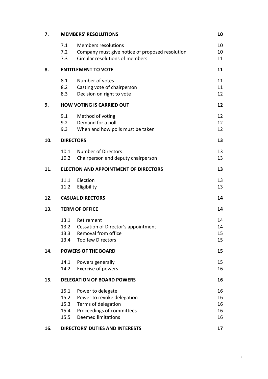| 7.  | <b>MEMBERS' RESOLUTIONS</b>            |                                                                                                                                  |                            |
|-----|----------------------------------------|----------------------------------------------------------------------------------------------------------------------------------|----------------------------|
|     | 7.1<br>7.2<br>7.3                      | <b>Members resolutions</b><br>Company must give notice of proposed resolution<br>Circular resolutions of members                 | 10<br>10<br>11             |
| 8.  | <b>ENTITLEMENT TO VOTE</b>             |                                                                                                                                  |                            |
|     | 8.1<br>8.2<br>8.3                      | Number of votes<br>Casting vote of chairperson<br>Decision on right to vote                                                      | 11<br>11<br>12             |
| 9.  | <b>HOW VOTING IS CARRIED OUT</b>       |                                                                                                                                  | 12                         |
|     | 9.1<br>9.2<br>9.3                      | Method of voting<br>Demand for a poll<br>When and how polls must be taken                                                        | 12<br>12<br>12             |
| 10. | <b>DIRECTORS</b>                       |                                                                                                                                  | 13                         |
|     | 10.1<br>10.2                           | <b>Number of Directors</b><br>Chairperson and deputy chairperson                                                                 | 13<br>13                   |
| 11. |                                        | <b>ELECTION AND APPOINTMENT OF DIRECTORS</b>                                                                                     | 13                         |
|     | 11.1<br>11.2                           | Election<br>Eligibility                                                                                                          | 13<br>13                   |
| 12. | <b>CASUAL DIRECTORS</b>                |                                                                                                                                  | 14                         |
| 13. | <b>TERM OF OFFICE</b>                  |                                                                                                                                  |                            |
|     | 13.1<br>13.2<br>13.3<br>13.4           | Retirement<br>Cessation of Director's appointment<br>Removal from office<br><b>Too few Directors</b>                             | 14<br>14<br>15<br>15       |
| 14. | <b>POWERS OF THE BOARD</b>             |                                                                                                                                  |                            |
|     | 14.1<br>14.2                           | Powers generally<br>Exercise of powers                                                                                           | 15<br>16                   |
| 15. | <b>DELEGATION OF BOARD POWERS</b>      |                                                                                                                                  |                            |
|     | 15.1<br>15.2<br>15.3<br>15.4<br>15.5   | Power to delegate<br>Power to revoke delegation<br>Terms of delegation<br>Proceedings of committees<br><b>Deemed limitations</b> | 16<br>16<br>16<br>16<br>16 |
| 16. | <b>DIRECTORS' DUTIES AND INTERESTS</b> |                                                                                                                                  | 17                         |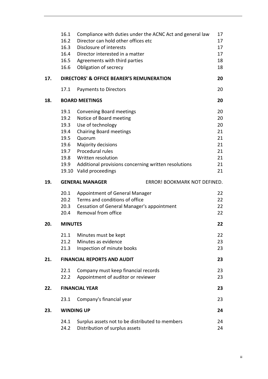|     | 16.1<br>16.2                             | Compliance with duties under the ACNC Act and general law<br>Director can hold other offices etc | 17<br>17 |  |
|-----|------------------------------------------|--------------------------------------------------------------------------------------------------|----------|--|
|     | 16.3<br>16.4                             | Disclosure of interests<br>Director interested in a matter                                       | 17<br>17 |  |
|     |                                          | 16.5 Agreements with third parties                                                               | 18       |  |
|     | 16.6                                     | Obligation of secrecy                                                                            | 18       |  |
|     |                                          |                                                                                                  |          |  |
| 17. |                                          | DIRECTORS' & OFFICE BEARER'S REMUNERATION                                                        | 20       |  |
|     | 17.1                                     | <b>Payments to Directors</b>                                                                     | 20       |  |
| 18. | <b>BOARD MEETINGS</b><br>20              |                                                                                                  |          |  |
|     | 19.1                                     | Convening Board meetings                                                                         | 20       |  |
|     | 19.2                                     | Notice of Board meeting                                                                          | 20       |  |
|     | 19.3                                     | Use of technology                                                                                | 20       |  |
|     | 19.4                                     | <b>Chairing Board meetings</b>                                                                   | 21       |  |
|     | 19.5                                     | Quorum                                                                                           | 21       |  |
|     | 19.6                                     | Majority decisions                                                                               | 21       |  |
|     |                                          | 19.7 Procedural rules                                                                            | 21       |  |
|     | 19.8                                     | Written resolution                                                                               | 21       |  |
|     | 19.9                                     | Additional provisions concerning written resolutions                                             | 21       |  |
|     |                                          | 19.10 Valid proceedings                                                                          | 21       |  |
| 19. |                                          | <b>GENERAL MANAGER</b><br>ERROR! BOOKMARK NOT DEFINED.                                           |          |  |
|     | 20.1                                     | Appointment of General Manager                                                                   | 22       |  |
|     | 20.2                                     | Terms and conditions of office                                                                   | 22       |  |
|     | 20.3                                     | <b>Cessation of General Manager's appointment</b>                                                | 22       |  |
|     | 20.4                                     | Removal from office                                                                              | 22       |  |
| 20. | <b>MINUTES</b>                           |                                                                                                  | 22       |  |
|     | 21.1                                     | Minutes must be kept                                                                             | 22       |  |
|     | 21.2                                     | Minutes as evidence                                                                              | 23       |  |
|     | 21.3                                     | Inspection of minute books                                                                       | 23       |  |
| 21. | <b>FINANCIAL REPORTS AND AUDIT</b><br>23 |                                                                                                  |          |  |
|     | 22.1                                     | Company must keep financial records                                                              | 23       |  |
|     | 22.2                                     | Appointment of auditor or reviewer                                                               | 23       |  |
| 22. | <b>FINANCIAL YEAR</b>                    |                                                                                                  |          |  |
|     | 23.1                                     | Company's financial year                                                                         | 23       |  |
| 23. |                                          | <b>WINDING UP</b>                                                                                | 24       |  |
|     | 24.1                                     | Surplus assets not to be distributed to members                                                  | 24       |  |
|     | 24.2                                     | Distribution of surplus assets                                                                   | 24       |  |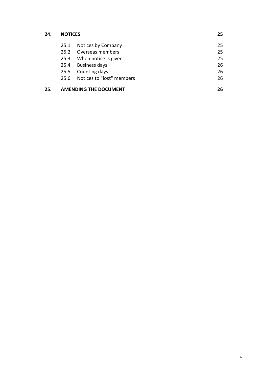# **24. NOTICES 25**

| 25. | <b>AMENDING THE DOCUMENT</b> |                                | 26 |
|-----|------------------------------|--------------------------------|----|
|     |                              | 25.6 Notices to "lost" members | 26 |
|     |                              | 25.5 Counting days             | 26 |
|     | 25.4                         | Business days                  | 26 |
|     | 25.3                         | When notice is given           | 25 |
|     | 25.2                         | Overseas members               | 25 |
|     | 25.1                         | Notices by Company             | 25 |
|     |                              |                                |    |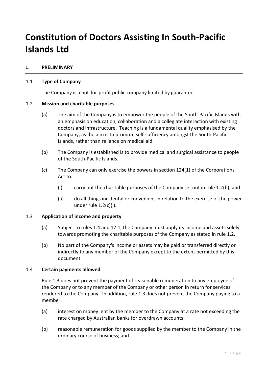# **Constitution of Doctors Assisting In South-Pacific Islands Ltd**

# <span id="page-5-0"></span>**1. PRELIMINARY**

# <span id="page-5-1"></span>1.1 **Type of Company**

The Company is a not-for-profit public company limited by guarantee.

# <span id="page-5-2"></span>1.2 **Mission and charitable purposes**

- (a) The aim of the Company is to empower the people of the South-Pacific Islands with an emphasis on education, collaboration and a collegiate interaction with existing doctors and infrastructure. Teaching is a fundamental quality emphasised by the Company, as the aim is to promote self-sufficiency amongst the South-Pacific Islands, rather than reliance on medical aid.
- (b) The Company is established is to provide medical and surgical assistance to people of the South-Pacific Islands.
- (c) The Company can only exercise the powers in section 124(1) of the Corporations Act to:
	- (i) carry out the charitable purposes of the Company set out in rule 1.2(b); and
	- (ii) do all things incidental or convenient in relation to the exercise of the power under rule 1.2(c)(i).

# <span id="page-5-3"></span>1.3 **Application of income and property**

- (a) Subject to rules [1.4](#page-5-4) and [17.1,](#page-24-1) the Company must apply its income and assets solely towards promoting the charitable purposes of the Company as stated in rule [1.2.](#page-5-2)
- (b) No part of the Company's income or assets may be paid or transferred directly or indirectly to any member of the Company except to the extent permitted by this document.

# <span id="page-5-4"></span>1.4 **Certain payments allowed**

Rule [1.3](#page-5-3) does not prevent the payment of reasonable remuneration to any employee of the Company or to any member of the Company or other person in return for services rendered to the Company. In addition, rule [1.3](#page-5-3) does not prevent the Company paying to a member:

- (a) interest on money lent by the member to the Company at a rate not exceeding the rate charged by Australian banks for overdrawn accounts;
- (b) reasonable remuneration for goods supplied by the member to the Company in the ordinary course of business; and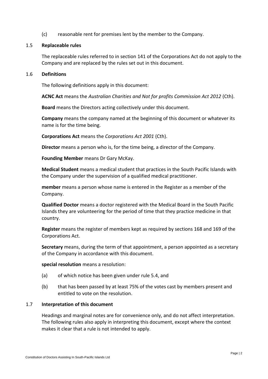(c) reasonable rent for premises lent by the member to the Company.

## <span id="page-6-0"></span>1.5 **Replaceable rules**

The replaceable rules referred to in section 141 of the Corporations Act do not apply to the Company and are replaced by the rules set out in this document.

# <span id="page-6-1"></span>1.6 **Definitions**

The following definitions apply in this document:

**ACNC Act** means the *Australian Charities and Not for profits Commission Act 2012* (Cth).

**Board** means the Directors acting collectively under this document.

**Company** means the company named at the beginning of this document or whatever its name is for the time being.

**Corporations Act** means the *Corporations Act 2001* (Cth).

**Director** means a person who is, for the time being, a director of the Company.

**Founding Member** means Dr Gary McKay.

**Medical Student** means a medical student that practices in the South Pacific Islands with the Company under the supervision of a qualified medical practitioner.

**member** means a person whose name is entered in the Register as a member of the Company.

**Qualified Doctor** means a doctor registered with the Medical Board in the South Pacific Islands they are volunteering for the period of time that they practice medicine in that country.

**Register** means the register of members kept as required by sections 168 and 169 of the Corporations Act.

**Secretary** means, during the term of that appointment, a person appointed as a secretary of the Company in accordance with this document.

**special resolution** means a resolution:

- (a) of which notice has been given under rule [5.4,](#page-11-1) and
- (b) that has been passed by at least 75% of the votes cast by members present and entitled to vote on the resolution.

# <span id="page-6-2"></span>1.7 **Interpretation of this document**

Headings and marginal notes are for convenience only, and do not affect interpretation. The following rules also apply in interpreting this document, except where the context makes it clear that a rule is not intended to apply.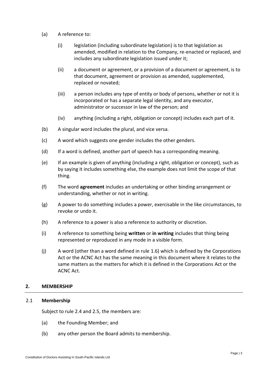- (a) A reference to:
	- (i) legislation (including subordinate legislation) is to that legislation as amended, modified in relation to the Company, re-enacted or replaced, and includes any subordinate legislation issued under it;
	- (ii) a document or agreement, or a provision of a document or agreement, is to that document, agreement or provision as amended, supplemented, replaced or novated;
	- (iii) a person includes any type of entity or body of persons, whether or not it is incorporated or has a separate legal identity, and any executor, administrator or successor in law of the person; and
	- (iv) anything (including a right, obligation or concept) includes each part of it.
- (b) A singular word includes the plural, and vice versa.
- (c) A word which suggests one gender includes the other genders.
- (d) If a word is defined, another part of speech has a corresponding meaning.
- (e) If an example is given of anything (including a right, obligation or concept), such as by saying it includes something else, the example does not limit the scope of that thing.
- (f) The word **agreement** includes an undertaking or other binding arrangement or understanding, whether or not in writing.
- (g) A power to do something includes a power, exercisable in the like circumstances, to revoke or undo it.
- (h) A reference to a power is also a reference to authority or discretion.
- (i) A reference to something being **written** or **in writing** includes that thing being represented or reproduced in any mode in a visible form.
- (j) A word (other than a word defined in rule [1.6\)](#page-6-1) which is defined by the Corporations Act or the ACNC Act has the same meaning in this document where it relates to the same matters as the matters for which it is defined in the Corporations Act or the ACNC Act.

# <span id="page-7-0"></span>**2. MEMBERSHIP**

# <span id="page-7-1"></span>2.1 **Membership**

Subject to rule [2.4](#page-8-2) and 2.5, the members are:

- (a) the Founding Member; and
- (b) any other person the Board admits to membership.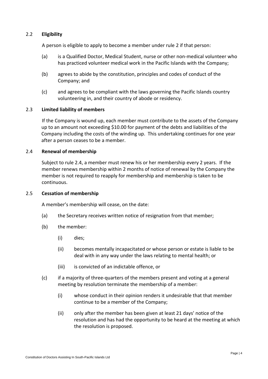# <span id="page-8-0"></span>2.2 **Eligibility**

A person is eligible to apply to become a member under rule [2](#page-7-0) if that person:

- (a) is a Qualified Doctor, Medical Student, nurse or other non-medical volunteer who has practiced volunteer medical work in the Pacific Islands with the Company;
- (b) agrees to abide by the constitution, principles and codes of conduct of the Company; and
- (c) and agrees to be compliant with the laws governing the Pacific Islands country volunteering in, and their country of abode or residency.

# <span id="page-8-1"></span>2.3 **Limited liability of members**

If the Company is wound up, each member must contribute to the assets of the Company up to an amount not exceeding \$10.00 for payment of the debts and liabilities of the Company including the costs of the winding up. This undertaking continues for one year after a person ceases to be a member.

# <span id="page-8-2"></span>2.4 **Renewal of membership**

Subject to rule 2.4, a member must renew his or her membership every 2 years. If the member renews membership within 2 months of notice of renewal by the Company the member is not required to reapply for membership and membership is taken to be continuous.

## 2.5 **Cessation of membership**

A member's membership will cease, on the date:

- (a) the Secretary receives written notice of resignation from that member;
- (b) the member:
	- (i) dies;
	- (ii) becomes mentally incapacitated or whose person or estate is liable to be deal with in any way under the laws relating to mental health; or
	- (iii) is convicted of an indictable offence, or
- (c) if a majority of three-quarters of the members present and voting at a general meeting by resolution terminate the membership of a member:
	- (i) whose conduct in their opinion renders it undesirable that that member continue to be a member of the Company;
	- (ii) only after the member has been given at least 21 days' notice of the resolution and has had the opportunity to be heard at the meeting at which the resolution is proposed.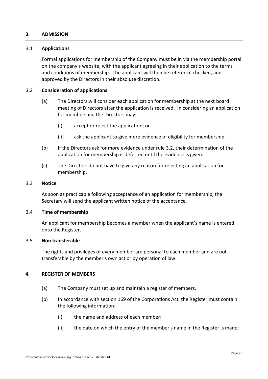# <span id="page-9-0"></span>**3. ADMISSION**

## <span id="page-9-1"></span>3.1 **Applications**

Formal applications for membership of the Company must be in via the membership portal on the company's website, with the applicant agreeing in their application to the terms and conditions of membership. The applicant will then be reference checked, and approved by the Directors in their absolute discretion.

# <span id="page-9-2"></span>3.2 **Consideration of applications**

- (a) The Directors will consider each application for membership at the next board meeting of Directors after the application is received. In considering an application for membership, the Directors may:
	- (i) accept or reject the application; or
	- (ii) ask the applicant to give more evidence of eligibility for membership.
- (b) If the Directors ask for more evidence under rule [3.2,](#page-9-2) their determination of the application for membership is deferred until the evidence is given.
- (c) The Directors do not have to give any reason for rejecting an application for membership.

#### <span id="page-9-3"></span>3.3 **Notice**

As soon as practicable following acceptance of an application for membership, the Secretary will send the applicant written notice of the acceptance.

## <span id="page-9-4"></span>3.4 **Time of membership**

An applicant for membership becomes a member when the applicant's name is entered onto the Register.

## <span id="page-9-5"></span>3.5 **Non transferable**

The rights and privileges of every member are personal to each member and are not transferable by the member's own act or by operation of law.

# <span id="page-9-6"></span>**4. REGISTER OF MEMBERS**

- (a) The Company must set up and maintain a register of members.
- (b) In accordance with section 169 of the Corporations Act, the Register must contain the following information:
	- (i) the name and address of each member;
	- (ii) the date on which the entry of the member's name in the Register is made;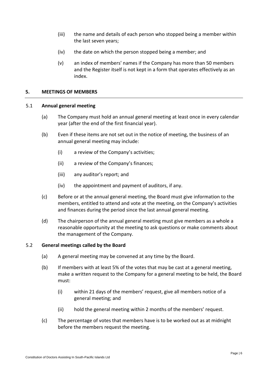- (iii) the name and details of each person who stopped being a member within the last seven years;
- (iv) the date on which the person stopped being a member; and
- (v) an index of members' names if the Company has more than 50 members and the Register itself is not kept in a form that operates effectively as an index.

# <span id="page-10-0"></span>**5. MEETINGS OF MEMBERS**

# <span id="page-10-1"></span>5.1 **Annual general meeting**

- (a) The Company must hold an annual general meeting at least once in every calendar year (after the end of the first financial year).
- (b) Even if these items are not set out in the notice of meeting, the business of an annual general meeting may include:
	- (i) a review of the Company's activities;
	- (ii) a review of the Company's finances;
	- (iii) any auditor's report; and
	- (iv) the appointment and payment of auditors, if any.
- (c) Before or at the annual general meeting, the Board must give information to the members, entitled to attend and vote at the meeting, on the Company's activities and finances during the period since the last annual general meeting.
- (d) The chairperson of the annual general meeting must give members as a whole a reasonable opportunity at the meeting to ask questions or make comments about the management of the Company.

## <span id="page-10-3"></span><span id="page-10-2"></span>5.2 **General meetings called by the Board**

- (a) A general meeting may be convened at any time by the Board.
- (b) If members with at least 5% of the votes that may be cast at a general meeting, make a written request to the Company for a general meeting to be held, the Board must:
	- (i) within 21 days of the members' request, give all members notice of a general meeting; and
	- (ii) hold the general meeting within 2 months of the members' request.
- (c) The percentage of votes that members have is to be worked out as at midnight before the members request the meeting.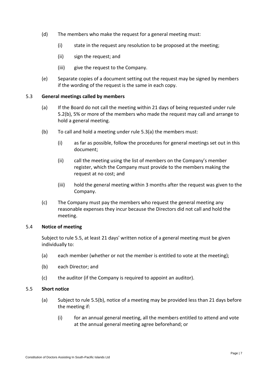- (d) The members who make the request for a general meeting must:
	- (i) state in the request any resolution to be proposed at the meeting;
	- (ii) sign the request; and
	- (iii) give the request to the Company.
- (e) Separate copies of a document setting out the request may be signed by members if the wording of the request is the same in each copy.

# <span id="page-11-3"></span><span id="page-11-0"></span>5.3 **General meetings called by members**

- (a) If the Board do not call the meeting within 21 days of being requested under rule [5.2\(b\),](#page-10-3) 5% or more of the members who made the request may call and arrange to hold a general meeting.
- (b) To call and hold a meeting under rule [5.3\(a\)](#page-11-3) the members must:
	- (i) as far as possible, follow the procedures for general meetings set out in this document;
	- (ii) call the meeting using the list of members on the Company's member register, which the Company must provide to the members making the request at no cost; and
	- (iii) hold the general meeting within 3 months after the request was given to the Company.
- (c) The Company must pay the members who request the general meeting any reasonable expenses they incur because the Directors did not call and hold the meeting.

## <span id="page-11-1"></span>5.4 **Notice of meeting**

Subject to rule [5.5,](#page-11-2) at least 21 days' written notice of a general meeting must be given individually to:

- (a) each member (whether or not the member is entitled to vote at the meeting);
- (b) each Director; and
- (c) the auditor (if the Company is required to appoint an auditor).

# <span id="page-11-2"></span>5.5 **Short notice**

- (a) Subject to rule [5.5\(b\),](#page-12-4) notice of a meeting may be provided less than 21 days before the meeting if:
	- (i) for an annual general meeting, all the members entitled to attend and vote at the annual general meeting agree beforehand; or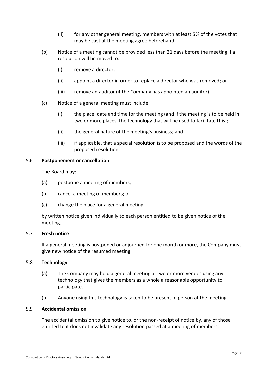- (ii) for any other general meeting, members with at least 5% of the votes that may be cast at the meeting agree beforehand.
- <span id="page-12-4"></span>(b) Notice of a meeting cannot be provided less than 21 days before the meeting if a resolution will be moved to:
	- (i) remove a director;
	- (ii) appoint a director in order to replace a director who was removed; or
	- (iii) remove an auditor (if the Company has appointed an auditor).
- (c) Notice of a general meeting must include:
	- (i) the place, date and time for the meeting (and if the meeting is to be held in two or more places, the technology that will be used to facilitate this);
	- (ii) the general nature of the meeting's business; and
	- (iii) if applicable, that a special resolution is to be proposed and the words of the proposed resolution.

# <span id="page-12-0"></span>5.6 **Postponement or cancellation**

The Board may:

- (a) postpone a meeting of members;
- (b) cancel a meeting of members; or
- (c) change the place for a general meeting,

by written notice given individually to each person entitled to be given notice of the meeting.

## <span id="page-12-1"></span>5.7 **Fresh notice**

If a general meeting is postponed or adjourned for one month or more, the Company must give new notice of the resumed meeting.

## <span id="page-12-2"></span>5.8 **Technology**

- (a) The Company may hold a general meeting at two or more venues using any technology that gives the members as a whole a reasonable opportunity to participate.
- (b) Anyone using this technology is taken to be present in person at the meeting.

# <span id="page-12-3"></span>5.9 **Accidental omission**

The accidental omission to give notice to, or the non-receipt of notice by, any of those entitled to it does not invalidate any resolution passed at a meeting of members.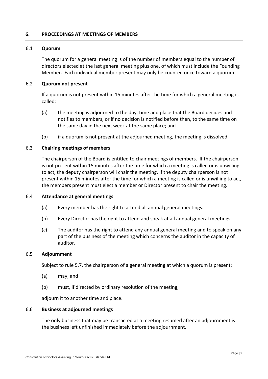# <span id="page-13-0"></span>**6. PROCEEDINGS AT MEETINGS OF MEMBERS**

## <span id="page-13-1"></span>6.1 **Quorum**

The quorum for a general meeting is of the number of members equal to the number of directors elected at the last general meeting plus one, of which must include the Founding Member. Each individual member present may only be counted once toward a quorum.

# <span id="page-13-2"></span>6.2 **Quorum not present**

If a quorum is not present within 15 minutes after the time for which a general meeting is called:

- (a) the meeting is adjourned to the day, time and place that the Board decides and notifies to members, or if no decision is notified before then, to the same time on the same day in the next week at the same place; and
- (b) if a quorum is not present at the adjourned meeting, the meeting is dissolved.

# <span id="page-13-3"></span>6.3 **Chairing meetings of members**

The chairperson of the Board is entitled to chair meetings of members. If the chairperson is not present within 15 minutes after the time for which a meeting is called or is unwilling to act, the deputy chairperson will chair the meeting. If the deputy chairperson is not present within 15 minutes after the time for which a meeting is called or is unwilling to act, the members present must elect a member or Director present to chair the meeting.

## <span id="page-13-4"></span>6.4 **Attendance at general meetings**

- (a) Every member has the right to attend all annual general meetings.
- (b) Every Director has the right to attend and speak at all annual general meetings.
- (c) The auditor has the right to attend any annual general meeting and to speak on any part of the business of the meeting which concerns the auditor in the capacity of auditor.

## <span id="page-13-5"></span>6.5 **Adjournment**

Subject to rule [5.7,](#page-12-1) the chairperson of a general meeting at which a quorum is present:

- (a) may; and
- (b) must, if directed by ordinary resolution of the meeting,

adiourn it to another time and place.

## <span id="page-13-6"></span>6.6 **Business at adjourned meetings**

The only business that may be transacted at a meeting resumed after an adjournment is the business left unfinished immediately before the adjournment.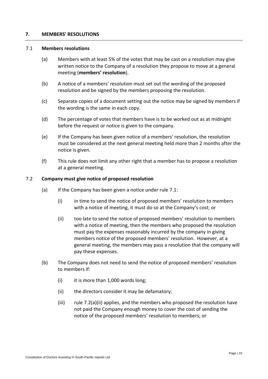# <span id="page-14-0"></span>**7. MEMBERS' RESOLUTIONS**

### <span id="page-14-1"></span>7.1 **Members resolutions**

- (a) Members with at least 5% of the votes that may be cast on a resolution may give written notice to the Company of a resolution they propose to move at a general meeting (**members' resolution**).
- (b) A notice of a members' resolution must set out the wording of the proposed resolution and be signed by the members proposing the resolution.
- (c) Separate copies of a document setting out the notice may be signed by members if the wording is the same in each copy.
- (d) The percentage of votes that members have is to be worked out as at midnight before the request or notice is given to the company.
- (e) If the Company has been given notice of a members' resolution, the resolution must be considered at the next general meeting held more than 2 months after the notice is given.
- (f) This rule does not limit any other right that a member has to propose a resolution at a general meeting.

# <span id="page-14-2"></span>7.2 **Company must give notice of proposed resolution**

- (a) If the Company has been given a notice under rule [7.1:](#page-14-1)
	- (i) in time to send the notice of proposed members' resolution to members with a notice of meeting, it must do so at the Company's cost; or
	- (ii) too late to send the notice of proposed members' resolution to members with a notice of meeting, then the members who proposed the resolution must pay the expenses reasonably incurred by the company in giving members notice of the proposed members' resolution. However, at a general meeting, the members may pass a resolution that the company will pay these expenses.
- (b) The Company does not need to send the notice of proposed members' resolution to members if:
	- $(i)$  it is more than 1,000 words long;
	- (ii) the directors consider it may be defamatory;
	- (iii) rule 7.2(a)(ii) applies, and the members who proposed the resolution have not paid the Company enough money to cover the cost of sending the notice of the proposed members' resolution to members; or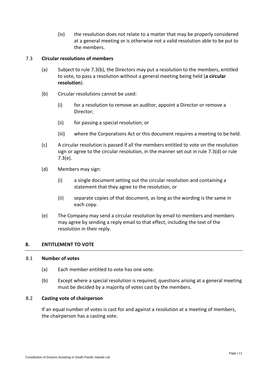(iv) the resolution does not relate to a matter that may be properly considered at a general meeting or is otherwise not a valid resolution able to be put to the members.

# <span id="page-15-0"></span>7.3 **Circular resolutions of members**

- (a) Subject to rule [7.3\(b\),](#page-15-4) the Directors may put a resolution to the members, entitled to vote, to pass a resolution without a general meeting being held (**a circular resolution**).
- <span id="page-15-4"></span>(b) Circular resolutions cannot be used:
	- (i) for a resolution to remove an auditor, appoint a Director or remove a Director;
	- (ii) for passing a special resolution; or
	- (iii) where the Corporations Act or this document requires a meeting to be held.
- (c) A circular resolution is passed if all the members entitled to vote on the resolution sign or agree to the circular resolution, in the manner set out in rule [7.3\(d\)](#page-15-5) or rule [7.3\(e\).](#page-15-6)
- <span id="page-15-5"></span>(d) Members may sign:
	- (i) a single document setting out the circular resolution and containing a statement that they agree to the resolution, or
	- (ii) separate copies of that document, as long as the wording is the same in each copy.
- <span id="page-15-6"></span>(e) The Company may send a circular resolution by email to members and members may agree by sending a reply email to that effect, including the text of the resolution in their reply.

# <span id="page-15-1"></span>**8. ENTITLEMENT TO VOTE**

# <span id="page-15-2"></span>8.1 **Number of votes**

- (a) Each member entitled to vote has one vote.
- (b) Except where a special resolution is required, questions arising at a general meeting must be decided by a majority of votes cast by the members.

# <span id="page-15-3"></span>8.2 **Casting vote of chairperson**

If an equal number of votes is cast for and against a resolution at a meeting of members, the chairperson has a casting vote.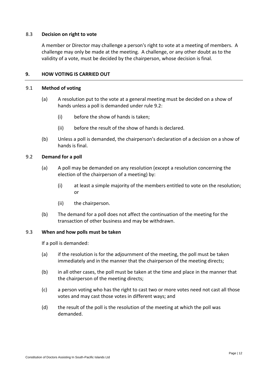# <span id="page-16-0"></span>8.3 **Decision on right to vote**

A member or Director may challenge a person's right to vote at a meeting of members. A challenge may only be made at the meeting. A challenge, or any other doubt as to the validity of a vote, must be decided by the chairperson, whose decision is final.

# <span id="page-16-1"></span>**9. HOW VOTING IS CARRIED OUT**

## <span id="page-16-2"></span>9.1 **Method of voting**

- (a) A resolution put to the vote at a general meeting must be decided on a show of hands unless a poll is demanded under rule [9.2:](#page-16-3)
	- (i) before the show of hands is taken;
	- (ii) before the result of the show of hands is declared.
- (b) Unless a poll is demanded, the chairperson's declaration of a decision on a show of hands is final.

## <span id="page-16-3"></span>9.2 **Demand for a poll**

- (a) A poll may be demanded on any resolution (except a resolution concerning the election of the chairperson of a meeting) by:
	- (i) at least a simple majority of the members entitled to vote on the resolution; or
	- (ii) the chairperson.
- (b) The demand for a poll does not affect the continuation of the meeting for the transaction of other business and may be withdrawn.

## <span id="page-16-4"></span>9.3 **When and how polls must be taken**

If a poll is demanded:

- (a) if the resolution is for the adjournment of the meeting, the poll must be taken immediately and in the manner that the chairperson of the meeting directs;
- (b) in all other cases, the poll must be taken at the time and place in the manner that the chairperson of the meeting directs;
- (c) a person voting who has the right to cast two or more votes need not cast all those votes and may cast those votes in different ways; and
- (d) the result of the poll is the resolution of the meeting at which the poll was demanded.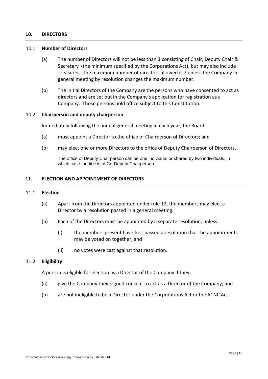# <span id="page-17-0"></span>**10. DIRECTORS**

### <span id="page-17-1"></span>10.1 **Number of Directors**

- (a) The number of Directors will not be less than 3 consisting of Chair, Deputy Chair & Secretary (the minimum specified by the Corporations Act), but may also include Treasurer. The maximum number of directors allowed is 7 unless the Company in general meeting by resolution changes the maximum number.
- (b) The initial Directors of the Company are the persons who have consented to act as directors and are set out in the Company's application for registration as a Company. Those persons hold office subject to this Constitution.

#### <span id="page-17-2"></span>10.2 **Chairperson and deputy chairperson**

Immediately following the annual general meeting in each year, the Board:

- (a) must appoint a Director to the office of Chairperson of Directors; and
- (b) may elect one or more Directors to the office of Deputy Chairperson of Directors.

The office of Deputy Chairperson can be one individual or shared by two individuals, in which case the title is of Co-Deputy Chairperson.

## <span id="page-17-3"></span>**11. ELECTION AND APPOINTMENT OF DIRECTORS**

#### <span id="page-17-4"></span>11.1 **Election**

- (a) Apart from the Directors appointed under rule [12,](#page-18-0) the members may elect a Director by a resolution passed in a general meeting.
- (b) Each of the Directors must be appointed by a separate resolution, unless:
	- (i) the members present have first passed a resolution that the appointments may be voted on together, and
	- (ii) no votes were cast against that resolution.

## <span id="page-17-5"></span>11.2 **Eligibility**

A person is eligible for election as a Director of the Company if they:

- (a) give the Company their signed consent to act as a Director of the Company; and
- (b) are not ineligible to be a Director under the Corporations Act or the ACNC Act.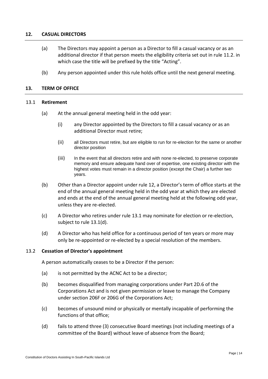# <span id="page-18-0"></span>**12. CASUAL DIRECTORS**

- (a) The Directors may appoint a person as a Director to fill a casual vacancy or as an additional director if that person meets the eligibility criteria set out in rule [11.2.](#page-17-5) in which case the title will be prefixed by the title "Acting".
- (b) Any person appointed under this rule holds office until the next general meeting.

# <span id="page-18-1"></span>**13. TERM OF OFFICE**

## <span id="page-18-2"></span>13.1 **Retirement**

- (a) At the annual general meeting held in the odd year:
	- (i) any Director appointed by the Directors to fill a casual vacancy or as an additional Director must retire;
	- (ii) all Directors must retire, but are eligible to run for re-election for the same or another director position
	- (iii) In the event that all directors retire and with none re-elected, to preserve corporate memory and ensure adequate hand over of expertise, one existing director with the highest votes must remain in a director position (except the Chair) a further two years.
- (b) Other than a Director appoint under rule [12](#page-18-0), a Director's term of office starts at the end of the annual general meeting held in the odd year at which they are elected and ends at the end of the annual general meeting held at the following odd year, unless they are re-elected.
- (c) A Director who retires under rule [13.1](#page-18-2) may nominate for election or re-election, subject to rule [13.1\(d\).](#page-18-4)
- <span id="page-18-4"></span>(d) A Director who has held office for a continuous period of ten years or more may only be re-appointed or re-elected by a special resolution of the members.

## <span id="page-18-3"></span>13.2 **Cessation of Director's appointment**

A person automatically ceases to be a Director if the person:

- (a) is not permitted by the ACNC Act to be a director;
- (b) becomes disqualified from managing corporations under Part 2D.6 of the Corporations Act and is not given permission or leave to manage the Company under section 206F or 206G of the Corporations Act;
- (c) becomes of unsound mind or physically or mentally incapable of performing the functions of that office;
- (d) fails to attend three (3) consecutive Board meetings (not including meetings of a committee of the Board) without leave of absence from the Board;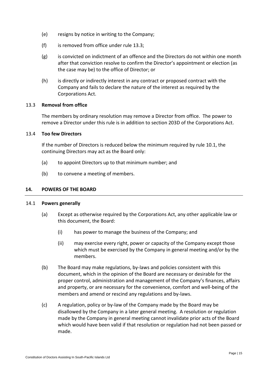- (e) resigns by notice in writing to the Company;
- (f) is removed from office under rule [13.3;](#page-19-0)
- (g) is convicted on indictment of an offence and the Directors do not within one month after that conviction resolve to confirm the Director's appointment or election (as the case may be) to the office of Director; or
- (h) is directly or indirectly interest in any contract or proposed contract with the Company and fails to declare the nature of the interest as required by the Corporations Act.

# <span id="page-19-0"></span>13.3 **Removal from office**

The members by ordinary resolution may remove a Director from office. The power to remove a Director under this rule is in addition to section 203D of the Corporations Act.

# <span id="page-19-1"></span>13.4 **Too few Directors**

If the number of Directors is reduced below the minimum required by rule [10.1,](#page-17-1) the continuing Directors may act as the Board only:

- (a) to appoint Directors up to that minimum number; and
- (b) to convene a meeting of members.

# <span id="page-19-2"></span>**14. POWERS OF THE BOARD**

## <span id="page-19-3"></span>14.1 **Powers generally**

- (a) Except as otherwise required by the Corporations Act, any other applicable law or this document, the Board:
	- (i) has power to manage the business of the Company; and
	- (ii) may exercise every right, power or capacity of the Company except those which must be exercised by the Company in general meeting and/or by the members.
- (b) The Board may make regulations, by-laws and policies consistent with this document, which in the opinion of the Board are necessary or desirable for the proper control, administration and management of the Company's finances, affairs and property, or are necessary for the convenience, comfort and well-being of the members and amend or rescind any regulations and by-laws.
- (c) A regulation, policy or by-law of the Company made by the Board may be disallowed by the Company in a later general meeting. A resolution or regulation made by the Company in general meeting cannot invalidate prior acts of the Board which would have been valid if that resolution or regulation had not been passed or made.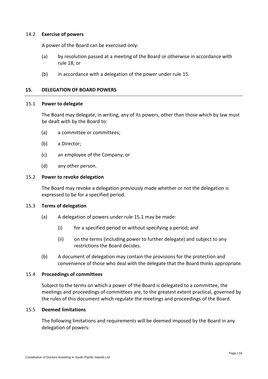# <span id="page-20-0"></span>14.2 **Exercise of powers**

A power of the Board can be exercised only:

- (a) by resolution passed at a meeting of the Board or otherwise in accordance with rule [18;](#page-24-2) or
- (b) in accordance with a delegation of the power under rule [15.](#page-20-1)

# <span id="page-20-1"></span>**15. DELEGATION OF BOARD POWERS**

## <span id="page-20-2"></span>15.1 **Power to delegate**

The Board may delegate, in writing, any of its powers, other than those which by law must be dealt with by the Board to:

- (a) a committee or committees;
- (b) a Director;
- (c) an employee of the Company; or
- (d) any other person.

## <span id="page-20-3"></span>15.2 **Power to revoke delegation**

The Board may revoke a delegation previously made whether or not the delegation is expressed to be for a specified period.

## <span id="page-20-4"></span>15.3 **Terms of delegation**

- (a) A delegation of powers under rule [15.1](#page-20-2) may be made:
	- (i) for a specified period or without specifying a period; and
	- (ii) on the terms (including power to further delegate) and subject to any restrictions the Board decides.
- (b) A document of delegation may contain the provisions for the protection and convenience of those who deal with the delegate that the Board thinks appropriate.

## <span id="page-20-5"></span>15.4 **Proceedings of committees**

Subject to the terms on which a power of the Board is delegated to a committee, the meetings and proceedings of committees are, to the greatest extent practical, governed by the rules of this document which regulate the meetings and proceedings of the Board.

## <span id="page-20-6"></span>15.5 **Deemed limitations**

The following limitations and requirements will be deemed imposed by the Board in any delegation of powers: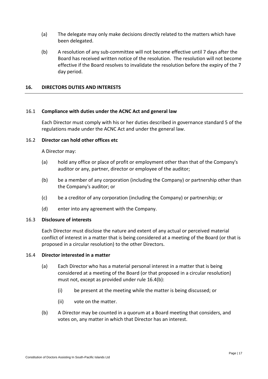- (a) The delegate may only make decisions directly related to the matters which have been delegated.
- (b) A resolution of any sub-committee will not become effective until 7 days after the Board has received written notice of the resolution. The resolution will not become effective if the Board resolves to invalidate the resolution before the expiry of the 7 day period.

# <span id="page-21-0"></span>**16. DIRECTORS DUTIES AND INTERESTS**

## <span id="page-21-1"></span>16.1 **Compliance with duties under the ACNC Act and general law**

Each Director must comply with his or her duties described in governance standard 5 of the regulations made under the ACNC Act and under the general law.

# <span id="page-21-2"></span>16.2 **Director can hold other offices etc**

A Director may:

- (a) hold any office or place of profit or employment other than that of the Company's auditor or any, partner, director or employee of the auditor;
- (b) be a member of any corporation (including the Company) or partnership other than the Company's auditor; or
- (c) be a creditor of any corporation (including the Company) or partnership; or
- (d) enter into any agreement with the Company.

## <span id="page-21-3"></span>16.3 **Disclosure of interests**

Each Director must disclose the nature and extent of any actual or perceived material conflict of interest in a matter that is being considered at a meeting of the Board (or that is proposed in a circular resolution) to the other Directors.

## <span id="page-21-4"></span>16.4 **Director interested in a matter**

- (a) Each Director who has a material personal interest in a matter that is being considered at a meeting of the Board (or that proposed in a circular resolution) must not, except as provided under rule [16.4\(b\):](#page-21-5)
	- (i) be present at the meeting while the matter is being discussed; or
	- (ii) vote on the matter.
- <span id="page-21-5"></span>(b) A Director may be counted in a quorum at a Board meeting that considers, and votes on, any matter in which that Director has an interest.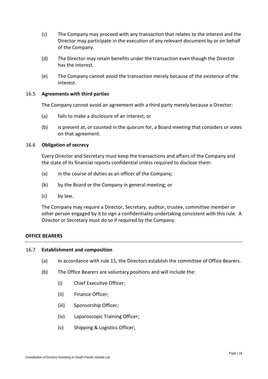- (c) The Company may proceed with any transaction that relates to the interest and the Director may participate in the execution of any relevant document by or on behalf of the Company.
- (d) The Director may retain benefits under the transaction even though the Director has the interest.
- (e) The Company cannot avoid the transaction merely because of the existence of the interest.

# <span id="page-22-0"></span>16.5 **Agreements with third parties**

The Company cannot avoid an agreement with a third party merely because a Director:

- (a) fails to make a disclosure of an interest; or
- (b) is present at, or counted in the quorum for, a Board meeting that considers or votes on that agreement.

# <span id="page-22-1"></span>16.6 **Obligation of secrecy**

Every Director and Secretary must keep the transactions and affairs of the Company and the state of its financial reports confidential unless required to disclose them:

- (a) in the course of duties as an officer of the Company;
- (b) by the Board or the Company in general meeting; or
- (c) by law.

The Company may require a Director, Secretary, auditor, trustee, committee member or other person engaged by it to sign a confidentiality undertaking consistent with this rule. A Director or Secretary must do so if required by the Company.

# **OFFICE BEARERS**

## 16.7 **Establishment and composition**

- (a) In accordance with rule 15, the Directors establish the committee of Office Bearers.
- (b) The Office Bearers are voluntary positions and will include the:
	- (i) Chief Executive Officer;
	- (ii) Finance Officer;
	- (iii) Sponsorship Officer;
	- (iv) Laparoscopic Training Officer;
	- (v) Shipping & Logistics Officer;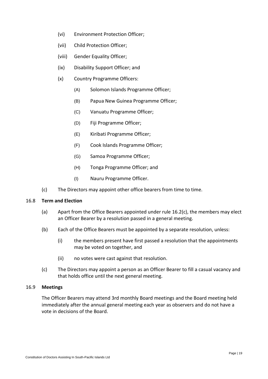- (vi) Environment Protection Officer;
- (vii) Child Protection Officer;
- (viii) Gender Equality Officer;
- (ix) Disability Support Officer; and
- (x) Country Programme Officers:
	- (A) Solomon Islands Programme Officer;
	- (B) Papua New Guinea Programme Officer;
	- (C) Vanuatu Programme Officer;
	- (D) Fiji Programme Officer;
	- (E) Kiribati Programme Officer;
	- (F) Cook Islands Programme Officer;
	- (G) Samoa Programme Officer;
	- (H) Tonga Programme Officer; and
	- (I) Nauru Programme Officer.
- (c) The Directors may appoint other office bearers from time to time.

# 16.8 **Term and Election**

- (a) Apart from the Office Bearers appointed under rule 16.2(c), the members may elect an Officer Bearer by a resolution passed in a general meeting.
- (b) Each of the Office Bearers must be appointed by a separate resolution, unless:
	- (i) the members present have first passed a resolution that the appointments may be voted on together, and
	- (ii) no votes were cast against that resolution.
- (c) The Directors may appoint a person as an Officer Bearer to fill a casual vacancy and that holds office until the next general meeting.

# 16.9 **Meetings**

The Officer Bearers may attend 3rd monthly Board meetings and the Board meeting held immediately after the annual general meeting each year as observers and do not have a vote in decisions of the Board.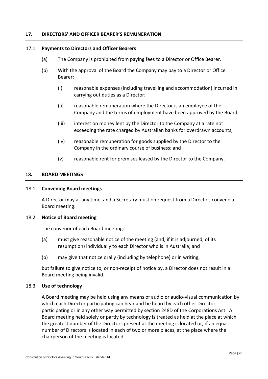# <span id="page-24-0"></span>**17. DIRECTORS' AND OFFICER BEARER'S REMUNERATION**

## <span id="page-24-1"></span>17.1 **Payments to Directors and Officer Bearers**

- (a) The Company is prohibited from paying fees to a Director or Office Bearer.
- (b) With the approval of the Board the Company may pay to a Director or Office Bearer:
	- (i) reasonable expenses (including travelling and accommodation) incurred in carrying out duties as a Director;
	- (ii) reasonable remuneration where the Director is an employee of the Company and the terms of employment have been approved by the Board;
	- (iii) interest on money lent by the Director to the Company at a rate not exceeding the rate charged by Australian banks for overdrawn accounts;
	- (iv) reasonable remuneration for goods supplied by the Director to the Company in the ordinary course of business; and
	- (v) reasonable rent for premises leased by the Director to the Company.

# <span id="page-24-2"></span>**18. BOARD MEETINGS**

## <span id="page-24-3"></span>18.1 **Convening Board meetings**

A Director may at any time, and a Secretary must on request from a Director, convene a Board meeting.

## <span id="page-24-4"></span>18.2 **Notice of Board meeting**

The convenor of each Board meeting:

- (a) must give reasonable notice of the meeting (and, if it is adjourned, of its resumption) individually to each Director who is in Australia; and
- (b) may give that notice orally (including by telephone) or in writing,

but failure to give notice to, or non-receipt of notice by, a Director does not result in a Board meeting being invalid.

## <span id="page-24-5"></span>18.3 **Use of technology**

A Board meeting may be held using any means of audio or audio-visual communication by which each Director participating can hear and be heard by each other Director participating or in any other way permitted by section 248D of the Corporations Act. A Board meeting held solely or partly by technology is treated as held at the place at which the greatest number of the Directors present at the meeting is located or, if an equal number of Directors is located in each of two or more places, at the place where the chairperson of the meeting is located.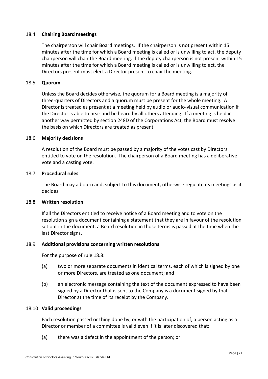# <span id="page-25-0"></span>18.4 **Chairing Board meetings**

The chairperson will chair Board meetings. If the chairperson is not present within 15 minutes after the time for which a Board meeting is called or is unwilling to act, the deputy chairperson will chair the Board meeting. If the deputy chairperson is not present within 15 minutes after the time for which a Board meeting is called or is unwilling to act, the Directors present must elect a Director present to chair the meeting.

# <span id="page-25-1"></span>18.5 **Quorum**

Unless the Board decides otherwise, the quorum for a Board meeting is a majority of three-quarters of Directors and a quorum must be present for the whole meeting. A Director is treated as present at a meeting held by audio or audio-visual communication if the Director is able to hear and be heard by all others attending. If a meeting is held in another way permitted by section 248D of the Corporations Act, the Board must resolve the basis on which Directors are treated as present.

## <span id="page-25-2"></span>18.6 **Majority decisions**

A resolution of the Board must be passed by a majority of the votes cast by Directors entitled to vote on the resolution. The chairperson of a Board meeting has a deliberative vote and a casting vote.

# <span id="page-25-3"></span>18.7 **Procedural rules**

The Board may adjourn and, subject to this document, otherwise regulate its meetings as it decides.

# <span id="page-25-4"></span>18.8 **Written resolution**

If all the Directors entitled to receive notice of a Board meeting and to vote on the resolution sign a document containing a statement that they are in favour of the resolution set out in the document, a Board resolution in those terms is passed at the time when the last Director signs.

## <span id="page-25-5"></span>18.9 **Additional provisions concerning written resolutions**

For the purpose of rule [18.8:](#page-25-4)

- (a) two or more separate documents in identical terms, each of which is signed by one or more Directors, are treated as one document; and
- (b) an electronic message containing the text of the document expressed to have been signed by a Director that is sent to the Company is a document signed by that Director at the time of its receipt by the Company.

# <span id="page-25-6"></span>18.10 **Valid proceedings**

Each resolution passed or thing done by, or with the participation of, a person acting as a Director or member of a committee is valid even if it is later discovered that:

(a) there was a defect in the appointment of the person; or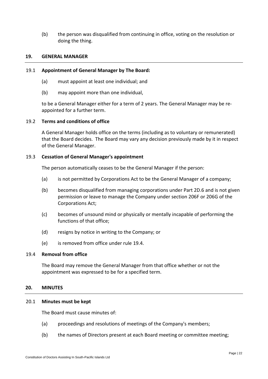(b) the person was disqualified from continuing in office, voting on the resolution or doing the thing.

# **19. GENERAL MANAGER**

# <span id="page-26-0"></span>19.1 **Appointment of General Manager by The Board:**

- (a) must appoint at least one individual; and
- (b) may appoint more than one individual,

to be a General Manager either for a term of 2 years. The General Manager may be reappointed for a further term.

# <span id="page-26-1"></span>19.2 **Terms and conditions of office**

A General Manager holds office on the terms (including as to voluntary or remunerated) that the Board decides. The Board may vary any decision previously made by it in respect of the General Manager.

# <span id="page-26-2"></span>19.3 **Cessation of General Manager's appointment**

The person automatically ceases to be the General Manager if the person:

- (a) is not permitted by Corporations Act to be the General Manager of a company;
- (b) becomes disqualified from managing corporations under Part 2D.6 and is not given permission or leave to manage the Company under section 206F or 206G of the Corporations Act;
- (c) becomes of unsound mind or physically or mentally incapable of performing the functions of that office;
- (d) resigns by notice in writing to the Company; or
- (e) is removed from office under rule [19.4.](#page-26-3)

# <span id="page-26-3"></span>19.4 **Removal from office**

The Board may remove the General Manager from that office whether or not the appointment was expressed to be for a specified term.

## <span id="page-26-4"></span>**20. MINUTES**

## <span id="page-26-5"></span>20.1 **Minutes must be kept**

The Board must cause minutes of:

- (a) proceedings and resolutions of meetings of the Company's members;
- (b) the names of Directors present at each Board meeting or committee meeting;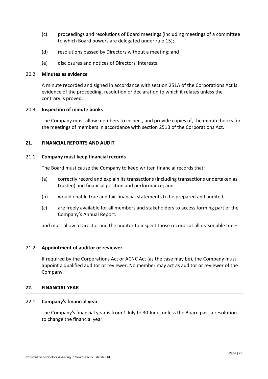- (c) proceedings and resolutions of Board meetings (including meetings of a committee to which Board powers are delegated under rule [15\)](#page-20-1);
- (d) resolutions passed by Directors without a meeting; and
- (e) disclosures and notices of Directors' interests.

## <span id="page-27-0"></span>20.2 **Minutes as evidence**

A minute recorded and signed in accordance with section 251A of the Corporations Act is evidence of the proceeding, resolution or declaration to which it relates unless the contrary is proved.

# <span id="page-27-1"></span>20.3 **Inspection of minute books**

The Company must allow members to inspect, and provide copies of, the minute books for the meetings of members in accordance with section 251B of the Corporations Act.

# <span id="page-27-2"></span>**21. FINANCIAL REPORTS AND AUDIT**

## <span id="page-27-3"></span>21.1 **Company must keep financial records**

The Board must cause the Company to keep written financial records that:

- (a) correctly record and explain its transactions (including transactions undertaken as trustee) and financial position and performance; and
- (b) would enable true and fair financial statements to be prepared and audited,
- (c) are freely available for all members and stakeholders to access forming part of the Company's Annual Report.

and must allow a Director and the auditor to inspect those records at all reasonable times.

## <span id="page-27-4"></span>21.2 **Appointment of auditor or reviewer**

If required by the Corporations Act or ACNC Act (as the case may be), the Company must appoint a qualified auditor or reviewer. No member may act as auditor or reviewer of the Company.

# <span id="page-27-5"></span>**22. FINANCIAL YEAR**

## <span id="page-27-6"></span>22.1 **Company's financial year**

The Company's financial year is from 1 July to 30 June, unless the Board pass a resolution to change the financial year.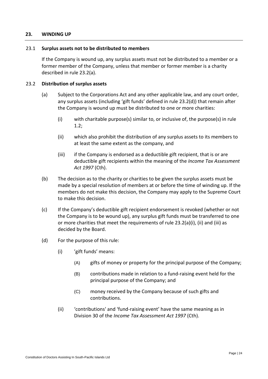# <span id="page-28-0"></span>**23. WINDING UP**

## <span id="page-28-1"></span>23.1 **Surplus assets not to be distributed to members**

If the Company is wound up, any surplus assets must not be distributed to a member or a former member of the Company, unless that member or former member is a charity described in rule [23.2\(a\).](#page-28-3)

# <span id="page-28-3"></span><span id="page-28-2"></span>23.2 **Distribution of surplus assets**

- (a) Subject to the Corporations Act and any other applicable law, and any court order, any surplus assets (including 'gift funds' defined in rule [23.2\(d\)\)](#page-28-4) that remain after the Company is wound up must be distributed to one or more charities:
	- (i) with charitable purpose(s) similar to, or inclusive of, the purpose(s) in rule [1.2;](#page-5-2)
	- (ii) which also prohibit the distribution of any surplus assets to its members to at least the same extent as the company, and
	- (iii) if the Company is endorsed as a deductible gift recipient, that is or are deductible gift recipients within the meaning of the *Income Tax Assessment Act 1997* (Cth).
- (b) The decision as to the charity or charities to be given the surplus assets must be made by a special resolution of members at or before the time of winding up. If the members do not make this decision, the Company may apply to the Supreme Court to make this decision.
- (c) If the Company's deductible gift recipient endorsement is revoked (whether or not the Company is to be wound up), any surplus gift funds must be transferred to one or more charities that meet the requirements of rule  $23.2(a)(i)$  $23.2(a)(i)$ , (ii) and (iii) as decided by the Board.
- <span id="page-28-4"></span>(d) For the purpose of this rule:
	- (i) 'gift funds' means:
		- (A) gifts of money or property for the principal purpose of the Company;
		- (B) contributions made in relation to a fund-raising event held for the principal purpose of the Company; and
		- (C) money received by the Company because of such gifts and contributions.
	- (ii) 'contributions' and 'fund-raising event' have the same meaning as in Division 30 of the *Income Tax Assessment Act 1997* (Cth).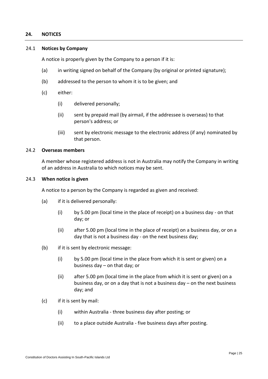# <span id="page-29-0"></span>**24. NOTICES**

## <span id="page-29-1"></span>24.1 **Notices by Company**

A notice is properly given by the Company to a person if it is:

- (a) in writing signed on behalf of the Company (by original or printed signature);
- (b) addressed to the person to whom it is to be given; and
- (c) either:
	- (i) delivered personally;
	- (ii) sent by prepaid mail (by airmail, if the addressee is overseas) to that person's address; or
	- (iii) sent by electronic message to the electronic address (if any) nominated by that person.

# <span id="page-29-2"></span>24.2 **Overseas members**

A member whose registered address is not in Australia may notify the Company in writing of an address in Australia to which notices may be sent.

#### <span id="page-29-3"></span>24.3 **When notice is given**

A notice to a person by the Company is regarded as given and received:

- (a) if it is delivered personally:
	- (i) by 5.00 pm (local time in the place of receipt) on a business day on that day; or
	- (ii) after 5.00 pm (local time in the place of receipt) on a business day, or on a day that is not a business day - on the next business day;
- (b) if it is sent by electronic message:
	- (i) by 5.00 pm (local time in the place from which it is sent or given) on a business day – on that day; or
	- (ii) after 5.00 pm (local time in the place from which it is sent or given) on a business day, or on a day that is not a business day – on the next business day; and
- (c) if it is sent by mail:
	- (i) within Australia three business day after posting; or
	- (ii) to a place outside Australia five business days after posting.